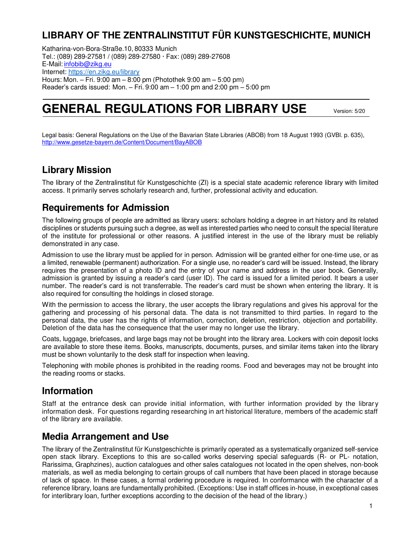# **LIBRARY OF THE ZENTRALINSTITUT FÜR KUNSTGESCHICHTE, MUNICH**

Katharina-von-Bora-Straße.10, 80333 Munich Tel.: (089) 289-27581 / (089) 289-27580 Fax: (089) 289-27608 E-Mail[: infobib@zikg.eu](mailto:infobib@zikg.eu) Internet:<https://en.zikg.eu/library> Hours: Mon. – Fri. 9:00 am – 8:00 pm (Photothek 9:00 am – 5:00 pm) Reader's cards issued: Mon.  $-$  Fri. 9:00 am  $-$  1:00 pm and 2:00 pm  $-$  5:00 pm

# **GENERAL REGULATIONS FOR LIBRARY USE** Version: 5/20

Legal basis: General Regulations on the Use of the Bavarian State Libraries (ABOB) from 18 August 1993 (GVBl. p. 635), <http://www.gesetze-bayern.de/Content/Document/BayABOB>

### **Library Mission**

The library of the Zentralinstitut für Kunstgeschichte (ZI) is a special state academic reference library with limited access. It primarily serves scholarly research and, further, professional activity and education.

### **Requirements for Admission**

The following groups of people are admitted as library users: scholars holding a degree in art history and its related disciplines or students pursuing such a degree, as well as interested parties who need to consult the special literature of the institute for professional or other reasons. A justified interest in the use of the library must be reliably demonstrated in any case.

Admission to use the library must be applied for in person. Admission will be granted either for one-time use, or as a limited, renewable (permanent) authorization. For a single use, no reader's card will be issued. Instead, the library requires the presentation of a photo ID and the entry of your name and address in the user book. Generally, admission is granted by issuing a reader's card (user ID). The card is issued for a limited period. It bears a user number. The reader's card is not transferrable. The reader's card must be shown when entering the library. It is also required for consulting the holdings in closed storage.

With the permission to access the library, the user accepts the library regulations and gives his approval for the gathering and processing of his personal data. The data is not transmitted to third parties. In regard to the personal data, the user has the rights of information, correction, deletion, restriction, objection and portability. Deletion of the data has the consequence that the user may no longer use the library.

Coats, luggage, briefcases, and large bags may not be brought into the library area. Lockers with coin deposit locks are available to store these items. Books, manuscripts, documents, purses, and similar items taken into the library must be shown voluntarily to the desk staff for inspection when leaving.

Telephoning with mobile phones is prohibited in the reading rooms. Food and beverages may not be brought into the reading rooms or stacks.

### **Information**

Staff at the entrance desk can provide initial information, with further information provided by the library information desk. For questions regarding researching in art historical literature, members of the academic staff of the library are available.

### **Media Arrangement and Use**

The library of the Zentralinstitut für Kunstgeschichte is primarily operated as a systematically organized self-service open stack library. Exceptions to this are so-called works deserving special safeguards (R- or PL- notation, Rarissima, Graphzines), auction catalogues and other sales catalogues not located in the open shelves, non-book materials, as well as media belonging to certain groups of call numbers that have been placed in storage because of lack of space. In these cases, a formal ordering procedure is required. In conformance with the character of a reference library, loans are fundamentally prohibited. (Exceptions: Use in staff offices in-house, in exceptional cases for interlibrary loan, further exceptions according to the decision of the head of the library.)